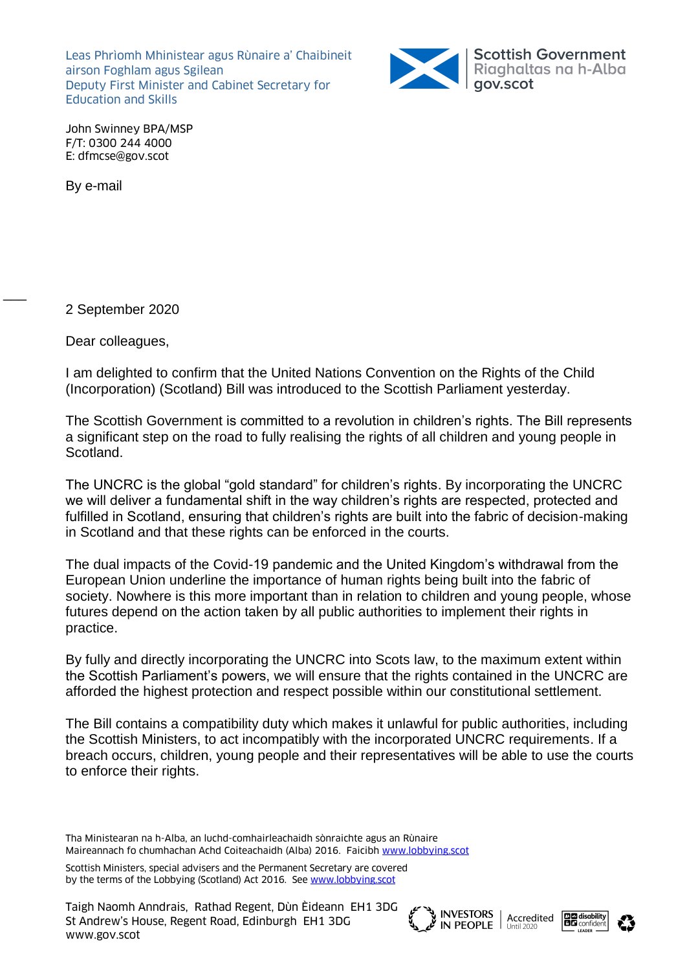Leas Phrìomh Mhinistear agus Rùnaire a' Chaibineit airson Foghlam agus Sgilean Deputy First Minister and Cabinet Secretary for Education and Skills



John Swinney BPA/MSP F/T: 0300 244 4000 E: dfmcse@gov.scot

By e-mail

 $\overline{\phantom{a}}$ 

2 September 2020

Dear colleagues,

I am delighted to confirm that the United Nations Convention on the Rights of the Child (Incorporation) (Scotland) Bill was introduced to the Scottish Parliament yesterday.

The Scottish Government is committed to a revolution in children's rights. The Bill represents a significant step on the road to fully realising the rights of all children and young people in Scotland.

The UNCRC is the global "gold standard" for children's rights. By incorporating the UNCRC we will deliver a fundamental shift in the way children's rights are respected, protected and fulfilled in Scotland, ensuring that children's rights are built into the fabric of decision-making in Scotland and that these rights can be enforced in the courts.

The dual impacts of the Covid-19 pandemic and the United Kingdom's withdrawal from the European Union underline the importance of human rights being built into the fabric of society. Nowhere is this more important than in relation to children and young people, whose futures depend on the action taken by all public authorities to implement their rights in practice.

By fully and directly incorporating the UNCRC into Scots law, to the maximum extent within the Scottish Parliament's powers, we will ensure that the rights contained in the UNCRC are afforded the highest protection and respect possible within our constitutional settlement.

The Bill contains a compatibility duty which makes it unlawful for public authorities, including the Scottish Ministers, to act incompatibly with the incorporated UNCRC requirements. If a breach occurs, children, young people and their representatives will be able to use the courts to enforce their rights.

Tha Ministearan na h-Alba, an luchd-comhairleachaidh sònraichte agus an Rùnaire Maireannach fo chumhachan Achd Coiteachaidh (Alba) 2016. Faicibh [www.lobbying.scot](http://www.lobbying.scot/)

Scottish Ministers, special advisers and the Permanent Secretary are covered by the terms of the Lobbying (Scotland) Act 2016. Se[e www.lobbying.scot](http://www.lobbying.scot/)